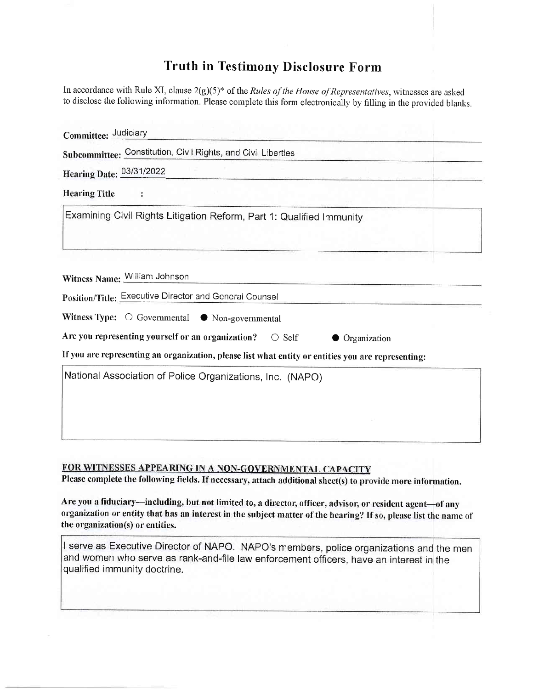## **Truth in Testimony Disclosure Form**

In accordance with Rule XI, clause  $2(g)(5)^*$  of the *Rules of the House of Representatives*, witnesses are asked to disclose the following information. Please complete this form electronically by filling in the provided blanks.

| Committee: Judiciary                                                                               |  |
|----------------------------------------------------------------------------------------------------|--|
| Subcommittee: Constitution, Civil Rights, and Civil Liberties                                      |  |
| Hearing Date: 03/31/2022                                                                           |  |
| <b>Hearing Title</b>                                                                               |  |
| Examining Civil Rights Litigation Reform, Part 1: Qualified Immunity                               |  |
|                                                                                                    |  |
|                                                                                                    |  |
| Witness Name: William Johnson                                                                      |  |
| Position/Title: Executive Director and General Counsel                                             |  |
| Witness Type: $\bigcirc$ Governmental $\bullet$ Non-governmental                                   |  |
| Are you representing yourself or an organization?<br>$\bigcirc$ Self<br>Organization               |  |
| If you are representing an organization, please list what entity or entities you are representing: |  |
| National Association of Police Organizations, Inc. (NAPO)                                          |  |
|                                                                                                    |  |
|                                                                                                    |  |
|                                                                                                    |  |

## FOR WITNESSES APPEARING IN A NON-GOVERNMENTAL CAPACITY

Please complete the following fields. If necessary, attach additional sheet(s) to provide more information.

Are you a fiduciary-including, but not limited to, a director, officer, advisor, or resident agent-of any organization or entity that has an interest in the subject matter of the hearing? If so, please list the name of the organization(s) or entities.

| I serve as Executive Director of NAPO. NAPO's members, police organizations and the men |
|-----------------------------------------------------------------------------------------|
| and women who serve as rank-and-file law enforcement officers, have an interest in the  |
| qualified immunity doctrine.                                                            |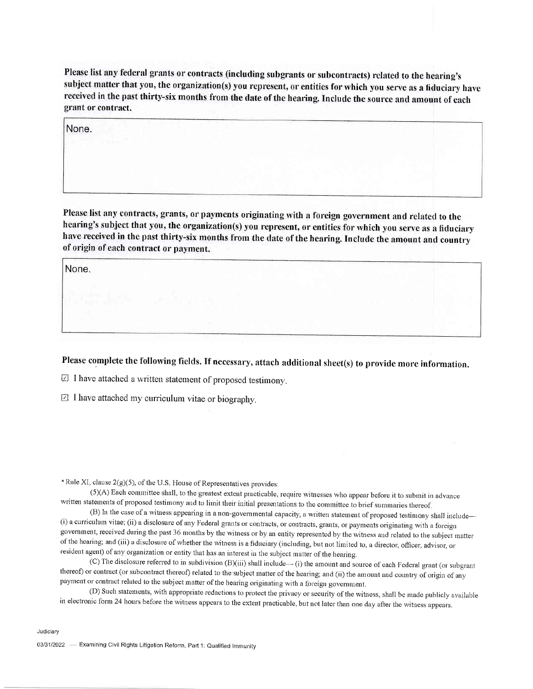Please list any federal grants or contracts (including subgrants or subcontracts) related to the hearing's subject matter that you, the organization(s) you represent, or entities for which you serve as a fiduciary have received in the past thirty-six months from the date of the hearing. Include the source and amount of each grant or contract.

None.

Please list any contracts, grants, or payments originating with a foreign government and related to the hearing's subject that you, the organization(s) you represent, or entities for which you serve as a fiduciary have received in the past thirty-six months from the date of the hearing. Include the amount and country of origin of each contract or payment.

None,

Please complete the following fields. If necessary, attach additional sheet(s) to provide more information.

 $\boxdot$  I have attached a written statement of proposed testimony,

 $\boxdot$  I have attached my curriculum vitae or biography,

 $*$  Rule XI, clause 2(g)(5), of the U.S. House of Representatives provides:

(5)(A) Each committee shall, to the greatest extent practicable, require witnesses who appear before it to submit in advance written statements of proposed testimony and to limit their initial presentations to the committee to brief summaries thereof.<br>(B) In the case of a witness appearing in a non-governmental capacity, a written statement of p

(i) a curriculum vitae; (ii) a disclosure of any Federal grants or contracts, or contracts, grants, or payments originating with a foreign government, received during the past 36 months by the witness or by an entity represented by the witness and related to the subject matter of the hearing; and (iii) a disclosure of whether the witness is a fiduciary (including, but not limited to, a director, officer, advisor, or resident agent) of any organization or entity that has an interest in the subject matter of the hearing.

(C) The disclosure referred to in subdivision (B)(iii) shall include- (i) the amount and source of each Federal grant (or subgrant thereof) or contract (or subcontract thereof) related to the subject matter of the hearing; and (ii) the amount and country of origin of any payment or contract related to the subject matter of the hearing originating with a foreign government.

(D) Such statements, with appropriate redactions to protect the privacy or security of the witness, shall be made publicly available in electronic form 24 hours before the witness appears to the extent practicable, but not later than one day after the witness appears.

Judiciary